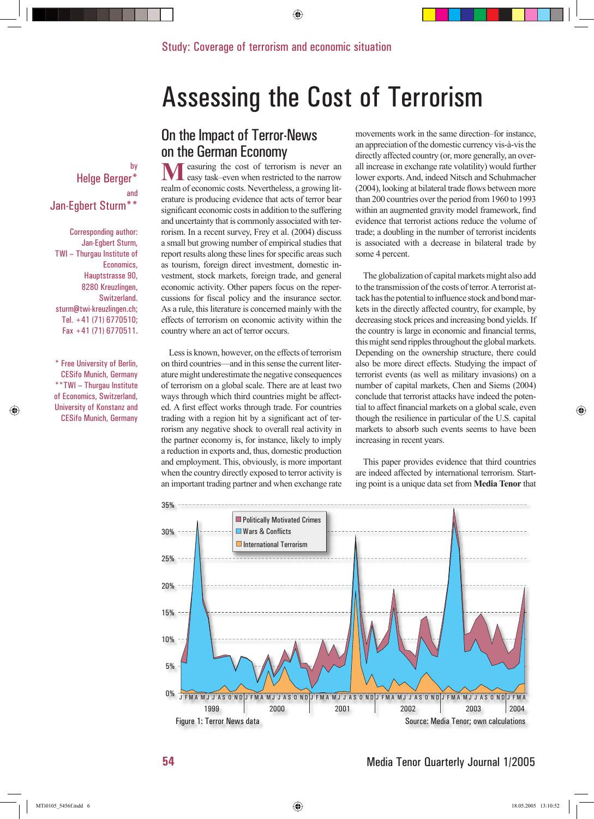# Assessing the Cost of Terrorism

### by Helge Berger\* and Jan-Egbert Sturm\*\*

Corresponding author: Jan-Egbert Sturm, TWI – Thurgau Institute of Economics, Hauptstrasse 90, 8280 Kreuzlingen, Switzerland. sturm@twi-kreuzlingen.ch; Tel. +41 (71) 6770510; Fax +41 (71) 6770511.

\* Free University of Berlin, CESifo Munich, Germany \*\*TWI – Thurgau Institute of Economics, Switzerland, University of Konstanz and CESifo Munich, Germany

## On the Impact of Terror-News on the German Economy

easuring the cost of terrorism is never an easy task–even when restricted to the narrow realm of economic costs. Nevertheless, a growing literature is producing evidence that acts of terror bear significant economic costs in addition to the suffering and uncertainty that is commonly associated with terrorism. In a recent survey, Frey et al. (2004) discuss a small but growing number of empirical studies that report results along these lines for specific areas such as tourism, foreign direct investment, domestic investment, stock markets, foreign trade, and general economic activity. Other papers focus on the repercussions for fiscal policy and the insurance sector. As a rule, this literature is concerned mainly with the effects of terrorism on economic activity within the country where an act of terror occurs.

Less is known, however, on the effects of terrorism on third countries—and in this sense the current literature might underestimate the negative consequences of terrorism on a global scale. There are at least two ways through which third countries might be affected. A first effect works through trade. For countries trading with a region hit by a significant act of terrorism any negative shock to overall real activity in the partner economy is, for instance, likely to imply a reduction in exports and, thus, domestic production and employment. This, obviously, is more important when the country directly exposed to terror activity is an important trading partner and when exchange rate movements work in the same direction–for instance, an appreciation of the domestic currency vis-à-vis the directly affected country (or, more generally, an overall increase in exchange rate volatility) would further lower exports. And, indeed Nitsch and Schuhmacher  $(2004)$ , looking at bilateral trade flows between more than 200 countries over the period from 1960 to 1993 within an augmented gravity model framework, find evidence that terrorist actions reduce the volume of trade; a doubling in the number of terrorist incidents is associated with a decrease in bilateral trade by some 4 percent.

The globalization of capital markets might also add to the transmission of the costs of terror. A terrorist attack has the potential to influence stock and bond markets in the directly affected country, for example, by decreasing stock prices and increasing bond yields. If the country is large in economic and financial terms, this might send ripples throughout the global markets. Depending on the ownership structure, there could also be more direct effects. Studying the impact of terrorist events (as well as military invasions) on a number of capital markets, Chen and Siems (2004) conclude that terrorist attacks have indeed the potential to affect financial markets on a global scale, even though the resilience in particular of the U.S. capital markets to absorb such events seems to have been increasing in recent years.

This paper provides evidence that third countries are indeed affected by international terrorism. Starting point is a unique data set from **Media Tenor** that

Media Tenor Quarterly Journal 1/2005



◈

**54**

◈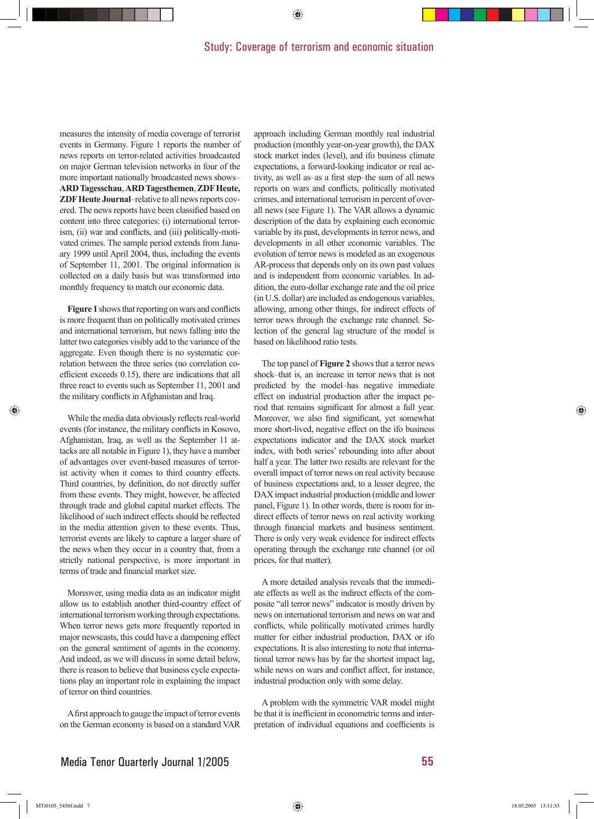#### Study: Coverage of terrorism and economic situation

◈

measures the intensity of media coverage of terrorist events in Germany. Figure 1 reports the number of news reports on terror-related activities broadcasted on major German television networks in four of the more important nationally broadcasted news shows– **ARD Tagesschau**, **ARD Tagesthemen**, **ZDF Heute, ZDF Heute Journal**–relative to all news reports covered. The news reports have been classified based on content into three categories: (i) international terrorism, (ii) war and conflicts, and (iii) politically-motivated crimes. The sample period extends from January 1999 until April 2004, thus, including the events of September 11, 2001. The original information is collected on a daily basis but was transformed into monthly frequency to match our economic data.

**Figure 1** shows that reporting on wars and conflicts is more frequent than on politically motivated crimes and international terrorism, but news falling into the latter two categories visibly add to the variance of the aggregate. Even though there is no systematic correlation between the three series (no correlation coefficient exceeds  $0.15$ ), there are indications that all three react to events such as September 11, 2001 and the military conflicts in Afghanistan and Iraq.

While the media data obviously reflects real-world events (for instance, the military conflicts in Kosovo, Afghanistan, Iraq, as well as the September 11 attacks are all notable in Figure 1), they have a number of advantages over event-based measures of terrorist activity when it comes to third country effects. Third countries, by definition, do not directly suffer from these events. They might, however, be affected through trade and global capital market effects. The likelihood of such indirect effects should be reflected in the media attention given to these events. Thus, terrorist events are likely to capture a larger share of the news when they occur in a country that, from a strictly national perspective, is more important in terms of trade and financial market size.

Moreover, using media data as an indicator might allow us to establish another third-country effect of international terrorism working through expectations. When terror news gets more frequently reported in major newscasts, this could have a dampening effect on the general sentiment of agents in the economy. And indeed, as we will discuss in some detail below, there is reason to believe that business cycle expectations play an important role in explaining the impact of terror on third countries.

A first approach to gauge the impact of terror events on the German economy is based on a standard VAR approach including German monthly real industrial production (monthly year-on-year growth), the DAX stock market index (level), and ifo business climate expectations, a forward-looking indicator or real activity, as well as–as a first step–the sum of all news reports on wars and conflicts, politically motivated crimes, and international terrorism in percent of overall news (see Figure 1). The VAR allows a dynamic description of the data by explaining each economic variable by its past, developments in terror news, and developments in all other economic variables. The evolution of terror news is modeled as an exogenous AR-process that depends only on its own past values and is independent from economic variables. In addition, the euro-dollar exchange rate and the oil price (in U.S. dollar) are included as endogenous variables, allowing, among other things, for indirect effects of terror news through the exchange rate channel. Selection of the general lag structure of the model is based on likelihood ratio tests.

The top panel of **Figure 2** shows that a terror news shock–that is, an increase in terror news that is not predicted by the model–has negative immediate effect on industrial production after the impact period that remains significant for almost a full year. Moreover, we also find significant, yet somewhat more short-lived, negative effect on the ifo business expectations indicator and the DAX stock market index, with both series' rebounding into after about half a year. The latter two results are relevant for the overall impact of terror news on real activity because of business expectations and, to a lesser degree, the DAX impact industrial production (middle and lower panel, Figure 1). In other words, there is room for indirect effects of terror news on real activity working through financial markets and business sentiment. There is only very weak evidence for indirect effects operating through the exchange rate channel (or oil prices, for that matter).

A more detailed analysis reveals that the immediate effects as well as the indirect effects of the composite "all terror news" indicator is mostly driven by news on international terrorism and news on war and conflicts, while politically motivated crimes hardly matter for either industrial production, DAX or ifo expectations. It is also interesting to note that international terror news has by far the shortest impact lag, while news on wars and conflict affect, for instance, industrial production only with some delay.

A problem with the symmetric VAR model might be that it is inefficient in econometric terms and interpretation of individual equations and coefficients is

⊕

◈